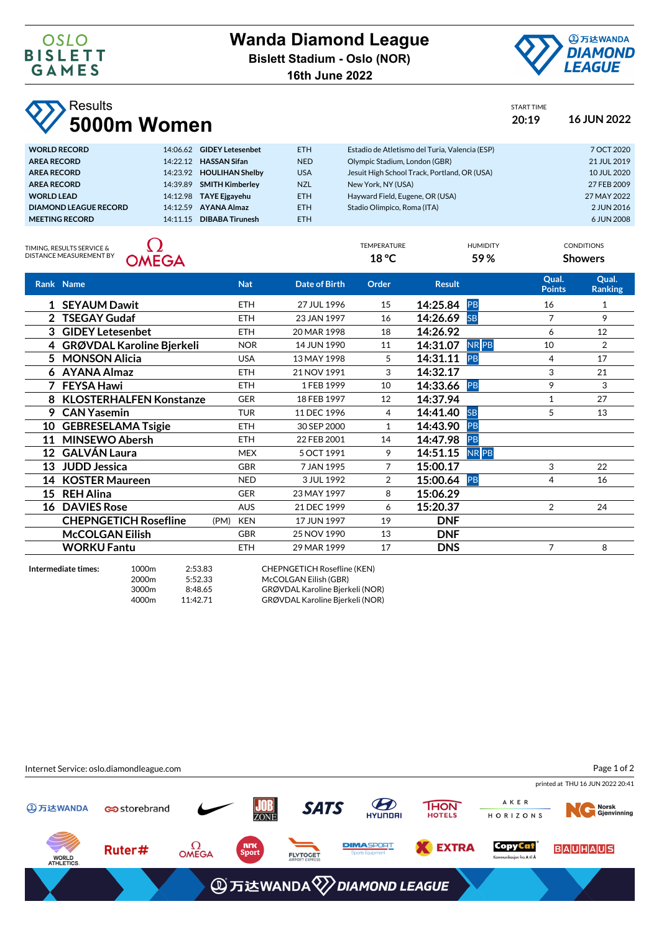**16th June 2022**



START TIME

TEMPERATURE HUMIDITY CONDITIONS **18 °C 59 % Showers**

## **Results 5000m Women 20:19 16 JUN 2022**

| <b>WORLD RECORD</b>   | 14:06.62 | <b>GIDEY Letesenbet</b> | <b>ETH</b> | Estadio de Atletismo del Turia, Valencia (ESP) | 7 OCT 2020  |
|-----------------------|----------|-------------------------|------------|------------------------------------------------|-------------|
| <b>AREA RECORD</b>    | 14.2212  | <b>HASSAN Sifan</b>     | <b>NED</b> | Olympic Stadium, London (GBR)                  | 21 JUL 2019 |
| <b>AREA RECORD</b>    | 14:23.92 | <b>HOULIHAN Shelby</b>  | <b>USA</b> | Jesuit High School Track, Portland, OR (USA)   | 10 JUL 2020 |
| <b>AREA RECORD</b>    | 14:39.89 | <b>SMITH Kimberley</b>  | <b>NZL</b> | New York, NY (USA)                             | 27 FEB 2009 |
| <b>WORLD LEAD</b>     | 14:12.98 | <b>TAYE Ejgayehu</b>    | <b>ETH</b> | Hayward Field, Eugene, OR (USA)                | 27 MAY 2022 |
| DIAMOND LEAGUE RECORD | 14.1259  | <b>AYANA Almaz</b>      | <b>ETH</b> | Stadio Olimpico, Roma (ITA)                    | 2 JUN 2016  |
| <b>MEETING RECORD</b> | 14.11.15 | <b>DIBABA Tirunesh</b>  | <b>ETH</b> |                                                | 6 JUN 2008  |
|                       |          |                         |            |                                                |             |

TIMING, RESULTS SERVICE &<br>DISTANCE MEASUREMENT BY



|    | Rank Name                    | <b>Nat</b>         | <b>Date of Birth</b> | Order          | <b>Result</b>           | Qual.<br><b>Points</b> | Qual.<br><b>Ranking</b> |
|----|------------------------------|--------------------|----------------------|----------------|-------------------------|------------------------|-------------------------|
|    | 1 SEYAUM Dawit               | <b>ETH</b>         | 27 JUL 1996          | 15             | 14:25.84 PB             | 16                     | 1                       |
|    | 2 TSEGAY Gudaf               | <b>ETH</b>         | 23 JAN 1997          | 16             | 14:26.69<br><b>SB</b>   | $\overline{7}$         | 9                       |
| 3  | <b>GIDEY Letesenbet</b>      | <b>ETH</b>         | 20 MAR 1998          | 18             | 14:26.92                | 6                      | 12                      |
|    | 4 GRØVDAL Karoline Bjerkeli  | <b>NOR</b>         | 14 JUN 1990          | 11             | 14:31.07<br><b>NRPB</b> | 10                     | $\overline{2}$          |
|    | 5 MONSON Alicia              | <b>USA</b>         | 13 MAY 1998          | 5              | 14:31.11<br>PB          | 4                      | 17                      |
|    | 6 AYANA Almaz                | <b>ETH</b>         | 21 NOV 1991          | 3              | 14:32.17                | 3                      | 21                      |
|    | <b>FEYSA Hawi</b>            | <b>ETH</b>         | 1 FEB 1999           | 10             | 14:33.66 PB             | 9                      | 3                       |
|    | 8 KLOSTERHALFEN Konstanze    | <b>GER</b>         | 18 FEB 1997          | 12             | 14:37.94                | 1                      | 27                      |
| 9. | <b>CAN Yasemin</b>           | <b>TUR</b>         | 11 DEC 1996          | 4              | 14:41.40<br><b>SB</b>   | 5                      | 13                      |
| 10 | <b>GEBRESELAMA Tsigie</b>    | <b>ETH</b>         | 30 SEP 2000          | $\mathbf{1}$   | 14:43.90<br>PB          |                        |                         |
| 11 | <b>MINSEWO Abersh</b>        | <b>ETH</b>         | 22 FEB 2001          | 14             | 14:47.98<br>PB          |                        |                         |
| 12 | <b>GALVÁN Laura</b>          | <b>MEX</b>         | 5 OCT 1991           | 9              | NR PB<br>14:51.15       |                        |                         |
| 13 | <b>JUDD Jessica</b>          | <b>GBR</b>         | 7 JAN 1995           | $\overline{7}$ | 15:00.17                | 3                      | 22                      |
| 14 | <b>KOSTER Maureen</b>        | <b>NED</b>         | 3 JUL 1992           | 2              | 15:00.64 PB             | 4                      | 16                      |
| 15 | <b>REH Alina</b>             | <b>GER</b>         | 23 MAY 1997          | 8              | 15:06.29                |                        |                         |
|    | 16 DAVIES Rose               | <b>AUS</b>         | 21 DEC 1999          | 6              | 15:20.37                | $\overline{2}$         | 24                      |
|    | <b>CHEPNGETICH Rosefline</b> | <b>KEN</b><br>(PM) | 17 JUN 1997          | 19             | <b>DNF</b>              |                        |                         |
|    | <b>McCOLGAN Eilish</b>       | <b>GBR</b>         | 25 NOV 1990          | 13             | <b>DNF</b>              |                        |                         |
|    | <b>WORKU Fantu</b>           | <b>ETH</b>         | 29 MAR 1999          | 17             | <b>DNS</b>              | 7                      | 8                       |
|    |                              |                    |                      |                |                         |                        |                         |

**Intermediate times:** 1000m 2:53.83 CHEPNGETICH Rosefline (KEN) 2000m 5:52.33 McCOLGAN Eilish (GBR) 3000m 8:48.65 GRØVDAL Karoline Bjerkeli (NOR) 4000m 11:42.71 GRØVDAL Karoline Bjerkeli (NOR)